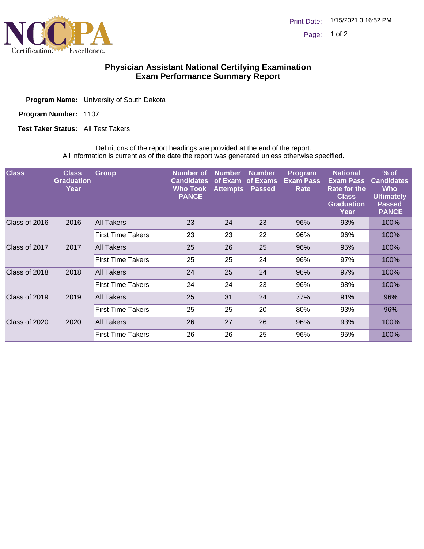

## **Physician Assistant National Certifying Examination Exam Performance Summary Report**

Program Number: 1107

**Test Taker Status:** All Test Takers

Definitions of the report headings are provided at the end of the report. All information is current as of the date the report was generated unless otherwise specified.

| <b>Class</b>  | <b>Class</b><br><b>Graduation</b><br>Year | <b>Group</b>             | <b>Number of</b><br><b>Candidates</b><br><b>Who Took</b><br><b>PANCE</b> | <b>Number</b><br>of Exam<br><b>Attempts</b> | <b>Number</b><br>of Exams<br><b>Passed</b> | <b>Program</b><br><b>Exam Pass</b><br>Rate | <b>National</b><br><b>Exam Pass</b><br><b>Rate for the</b><br><b>Class</b><br><b>Graduation</b><br>Year | $%$ of<br><b>Candidates</b><br><b>Who</b><br><b>Ultimately</b><br><b>Passed</b><br><b>PANCE</b> |
|---------------|-------------------------------------------|--------------------------|--------------------------------------------------------------------------|---------------------------------------------|--------------------------------------------|--------------------------------------------|---------------------------------------------------------------------------------------------------------|-------------------------------------------------------------------------------------------------|
| Class of 2016 | 2016                                      | All Takers               | 23                                                                       | 24                                          | 23                                         | 96%                                        | 93%                                                                                                     | 100%                                                                                            |
|               |                                           | <b>First Time Takers</b> | 23                                                                       | 23                                          | 22                                         | 96%                                        | 96%                                                                                                     | 100%                                                                                            |
| Class of 2017 | 2017                                      | All Takers               | 25                                                                       | 26                                          | 25                                         | 96%                                        | 95%                                                                                                     | 100%                                                                                            |
|               |                                           | <b>First Time Takers</b> | 25                                                                       | 25                                          | 24                                         | 96%                                        | 97%                                                                                                     | 100%                                                                                            |
| Class of 2018 | 2018                                      | All Takers               | 24                                                                       | 25                                          | 24                                         | 96%                                        | 97%                                                                                                     | 100%                                                                                            |
|               |                                           | <b>First Time Takers</b> | 24                                                                       | 24                                          | 23                                         | 96%                                        | 98%                                                                                                     | 100%                                                                                            |
| Class of 2019 | 2019                                      | All Takers               | 25                                                                       | 31                                          | 24                                         | 77%                                        | 91%                                                                                                     | 96%                                                                                             |
|               |                                           | <b>First Time Takers</b> | 25                                                                       | 25                                          | 20                                         | 80%                                        | 93%                                                                                                     | 96%                                                                                             |
| Class of 2020 | 2020                                      | All Takers               | 26                                                                       | 27                                          | 26                                         | 96%                                        | 93%                                                                                                     | 100%                                                                                            |
|               |                                           | <b>First Time Takers</b> | 26                                                                       | 26                                          | 25                                         | 96%                                        | 95%                                                                                                     | 100%                                                                                            |